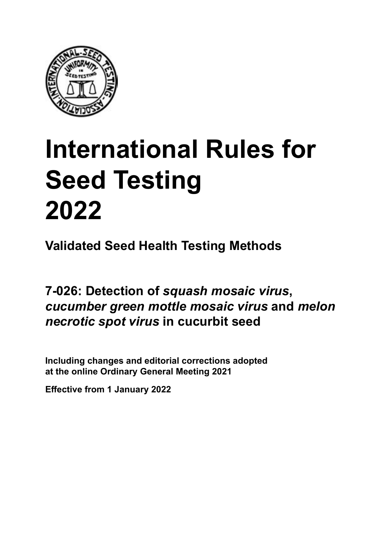

# **International Rules for Seed Testing von Saatgut 2022 2022 Semences 2022 International Rules for Seed Testing 2022**

**Métodos Validados para Análisis de Sanidad de Semillas Validate Méthodes Validées pour Analyse Sanitaire des Semences Validated Seed Health Testing Methods**

**7‑026: Detección del** *virus del mosaico de*  **Nachweis von** *squash mosaic virus***, 7‑026 : Détection du «** *squash mosaic virus* **»,**  *calabaza***,** *virus del mosaico del moteado verde del cucumber green mottle mosaic virus* **und «** *cucumber green mottle mosaic virus* **»**  *pepino* **y** *virus de la mancha necrótica del melón* **en semillas de cucurbitáceas** *media includ moder* who and **Kurbischer Gewärende**n **et «** *melon necrotic spot virus* **» chez les Cucure 7‑026: Detection of** *squash mosaic virus***,**  *cucumber green mottle mosaic virus* **and** *melon necrotic spot virus* **in cucurbit seed**

Including changes and editorial corrections adopted at the online Ordinary General Meeting 2021

**Effective from 1 January 2022**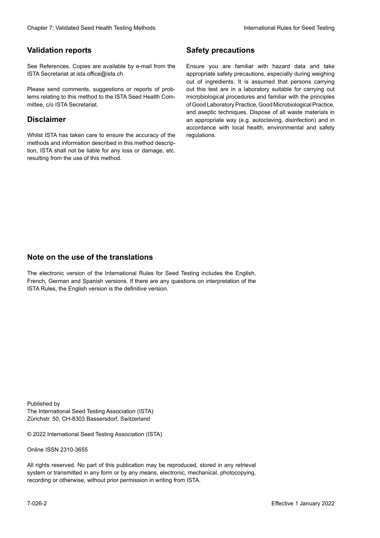### **Validation reports**

See References. Copies are available by e-mail from the<br>ISTA Secretariat at ista.office@ista.ch. ISTA Secretariat at ista.office@ista.ch.

lems relating to this method to the ISTA Seed Health Com-<br>mittee, c/o ISTA Secretariat. mittee, c/o ISTA Secretariat.<br>i Please send comments, suggestions or reports of prob-

### **Limitation de responsabilité Disclaimer**

Whilst ISTA has taken care to ensure the accuracy of the<br>methods and information described in this method description, ISTA shall not be liable for any loss or damage, etc.<br>resulting from the use of this method.<br>. resulting from the use of this method. Whilst ISTA has taken care to ensure the accuracy of the methods and information described in this method descrip-<br>tion, ISTA shall not be liable for any loss or damage, etc. tion, ISTA shall not be liable for any loss or damage, etc.<br>resulting from the use of this method.

### **Medidas de seguridad Sicherheitsmaßnahmen Sécurité Safety precautions**

Ensure you are familiar with hazard data and take Ensure you are familiar with hazard data and take<br>appropriate safety precautions, especially during weighing out of ingredients. It is assumed that persons carrying out this test are in a laboratory suitable for carrying out microbiological procedures and familiar with the principles of Good Laboratory Practice, Good Microbiological Practice, and aseptic techniques. Dispose of all waste materials in an appropriate way (e.g. autoclaving, disinfection) and in accordance with local health, environmental and safety regulations. Glade 7: Validated Deed Health Testing holes by Safety precentions and the Sacrifice of the New York (1991)<br>The Reference Coulis are analyzed by e-rust force on Santy and Santy County of the New York (1992)<br>The Concenter M microbiological procedures and familiar with the principles<br>of Good Laboratory Practice, Good Microbiological Practice,<br>and aseptic techniques. Dispose of all waste materials in<br>an appropriate way (e.g. autoclaving, disinf fallstoffe sind auf geeignete Weise und entsprechend der vor Ort über der vor Ort über und Umwelt- und Umwelt-<br>Eine und Umwelt-Effective Counter of Nicholas Devel Teach Teach Teach Devel Safety precedutions<br>
Validation reports<br>
Safety precedution reports and the symbol state of the sementic of the symbol state of the based delay and share<br>
Propose of Good Laboratory Practice, Good Microbiological Practice,<br>and aseptic techniques. Dispose of all waste materials in<br>an appropriate way (e.g. autoclaving, disinfection) and in Validation reports<br>
Since The Texture 1988 and the system of the Since Theorem and the Since Theorem and the system of the Since The Since The Since The Since The Since The Since The Since The Since The Since The Since The Ensure you are familiar with hazard data and take<br>appropriate safety precautions, especially during weighing<br>out of ingredients. It is assumed that persons carrying<br>out this test are in a laboratory suitable for carrying o

### **Nota sobre el uso de traducciones Anmerkung zur Benutzung der Übersetzungen Note on the use of the translations**

The electronic version of the International Rules for Seed Testing includes the English, French, German and Spanish versions. If there are any questions on interpretation of the ISTA Rules, the English version is the definitive version. The electronic version of the International Rules for Seed Testing includes the English,<br>French, German and Spanish versions. If there are any questions on interpretation of the<br>ISTA Rules, the English version is the defin The electronic version of the International Rules for Seed Testing includes the English,<br>French, German and Spanish versions. If there are any questions on interpretation of the

Published by **Extending Association (ISTA)** The International Seed Testing Association (ISTA) Zürichstr. 50, CH-8303 Bassersdorf, Switzerland

© 2022 International Seed Testing Association (ISTA)

Alle Rechte vorbehalten. Kein Teil dieses Werkes darf in irgendwelcher Form oder durch Online ISSN 2310-3655

All rights reserved. No part of this publication may be reproduced, stored in any retrieval All rights reserved. No part of this publication may be reproduced, stored in any retrieval<br>system or transmitted in any form or by any means, electronic, mechanical, photocopying,<br>recording or otherwise, without prior per recording or otherwise, without prior permis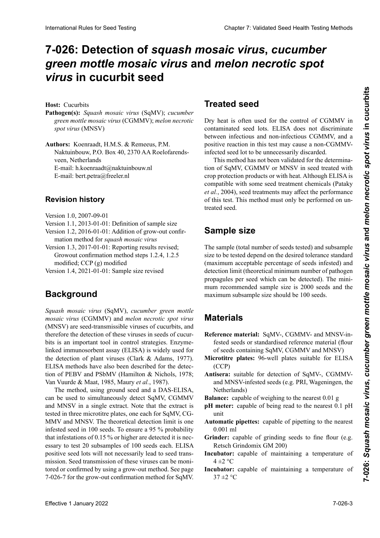## 7-026: Detection of squash mosaic virus, cucumber green mottle mosaic virus and melon necrotic spot *virus de la mancha necrótica del melón* **en semillas de**  *virus* **an Samen von Kürbisgewächsen** *necrotic spot virus* **» chez les Cucurbitacées in cucurbit seed**

**Host:** Cucurbits

green mottle mosaic virus (CGMMV); melon necrotic spot virus (MNSV) **Pathogen(s):** Squash mosaic virus (SqMV); *cucumber* 

Authors: Koenraadt, H.M.S. & Remeeus, P.M. Naktuinbouw, P.O. Box 40, 2370 AA Roelofarendsveen, Netherlands  $F$ -mail: hert.petra@freeler.nl  $\overline{P}$ E-mail: h.koenraadt@naktuinbouw.nl E-mail: hert netra $\overset{\sim}{a}$ freeler nl E-mail: bert.petra@freeler.nl

#### $\overline{\mathbf{w}}$ ision history.  $\overline{\text{Review}}$

- Version 1.0, 2007-09-01
- Version 1.0,  $20070901$ <br>Version 1.1, 2013-01-01: Definition of sample size
- **Version 1.1, 2013-01-01. Definition** version 1.1, 2013-01-01. Definition of sample size version 1.2,  $2010-01-01$ . Augurion of grow-out confir- $2013 - 01 - 01$  : Definition of sample size Version 1.2, 2016-01-01: Addition of grow-out confirmation method for *squash mosaic virus*
- $\frac{1}{2}$  1.0, 2017-01-01 versión 1.5, 2017-01-01: Reporting results revised; Growout confirmation method steps  $1.2.4, 1.2.3$ modified; CCP (g) modified thode zur Bestätigung von *squash mosaic virus* version 1.5, 2017-01-01: Reporting results revised; mation méthod for *squash mosaic virus*<br>Version 1.3, 2017-01-01: Reporting results revised; sion 1.5, 2017-01-01. Reporting. Growout confirmation method steps 1.2.4, 1.2.5
- Version 1.4, 2021-01-01: Sample size revised

#### los pasos 1.2.4, 1.2.5 en el Método de confirmación de Background **Minter**  $\blacksquare$ **Background**

(MNSV) are seed-transmissible viruses of cucurbits, and bits is an important tool in control strategies. Enzymebits is an important tool in control strategies. Enzyme-<br>linked immunosorbent assay (ELISA) is widely used for the detection of plant viruses (Clark & Adams, 1977). the detection of plant viruses (Clark & Adams, 1977).<br>ELISA methods have also been described for the detection of PEBV and PSbMV (Hamilton & Nichols, 1978;<br>Van Vuurde & Maat, 1985, Maury *et al.*, 1987). Van Vuurde & Maat, 1985, Maury *et al.*, 1987). *Squash mosaic virus* (SqMV), *cumber green mottle mosaic Squash mosaic virus* (SqMV), *cucumber green mottle*   $mosaic$  virus (CGMMV) and  $melon$  necrotic spot virus (MNSV) are seed-transmissible viruses of cucurbits, and<br>therefore the detection of these viruses in seeds of cucur-

The method, using ground seed and a DAS-ELISA, can be used to simultaneously detect SqMV, CGMMV The method, using ground seed and a DAS-ELISA,<br>can be used to simultaneously detect SqMV, CGMMV<br>and MNSV in a single extract. Note that the extract is<br>tested in three microtitre plates, one each for SqMV, CGtested in three microtitre plates, one each for SqMV, CG-MMV and MNSV. The theoretical detection limit is one<br>infected seed in 100 seeds. To ensure a 95 % probability infested seed in 100 seeds. To ensure a 95 % probability that infestations of 0.15 % or higher are detected it is nec-<br>assert to test 20 subsemples of 100 space aseb. ELISA nach mestations of 0.15 % of mights are detected to is necessary to test 20 subsamples of 100 seeds each. ELISA positive seed lots will not necessarily lead to seed trans-<br>mission. Seed transmission of these viruses can be monipostave seed tots will not necessarily lead to seed transmission. Seed transmission of these viruses can be moni- $\frac{1}{2}$   $\frac{1}{2}$   $\frac{1}{2}$   $\frac{1}{2}$   $\frac{1}{2}$   $\frac{1}{2}$   $\frac{1}{2}$   $\frac{1}{2}$   $\frac{1}{2}$   $\frac{1}{2}$  $\frac{1}{2}$   $\frac{1}{2}$   $\frac{1}{2}$   $\frac{1}{2}$   $\frac{1}{2}$   $\frac{1}{2}$   $\frac{1}{2}$   $\frac{1}{2}$   $\frac{1}{2}$   $\frac{1}{2}$   $\frac{1}{2}$   $\frac{1}{2}$   $\frac{1}{2}$   $\frac{1}{2}$   $\frac{1}{2}$   $\frac{1}{2}$   $\frac{1}{2}$   $\frac{1}{2}$   $\frac{1}{2}$   $\frac{1}{2}$   $\frac{1}{2}$   $\frac{1}{2}$  <sub>2</sub> sub-current or commined by using a grow-out include. See page<br>7-026-7 for the grow-out confirmation method for SqMV. mission. Seed dansifission or these viruses can be mom-<br>tored or confirmed by using a grow-out method. See page Publishem (Novole means in the control (NoW) cataobe means in the seal of the search of CGMMV in the search of the search of the search of the search of the search of the search of the search of the search of the search o International Rules for Seed Testing Compact Chapter 2: 2003 Compact Chapter 2: 2003 Compact Chapter 2: 2003 Compact Chapter 2: 2003 Compact Chapter 2: 2003 Compact Chapter 2: 2003 Compact Chapter 2: 2003 Compact Chapter and MNSV in a single extract. Note that the extract is

### **Treated seed**

Dry heat is often used for the control of CGMMV in contaminated seed lots. ELISA does not discriminate contaminated seed lots. ELISA does not discriminate between infectious and non-infectious CGMMV, and a positive reaction in this test may cause a non-CGMMVpositive reaction in and cost may cause a non-essimity.

This method has not been validated for the determinacrop processor products of with heat. Antiough EE15A is<br>compatible with some seed treatment chemicals (Pataky of this test. This method must only be performed on un of this test. This method must only be performed on undiscrimina entre CGM. tion of SqMV, CGMMV or MNSV in seed treated with crop protection products or with heat. Although ELISA is *et al.*, 2004), seed treatments may affect the performance Diese Methode wurde nicht für die Bestimmung von SqMV, CGMMV oder MNSV an mit Pflanzenschutzmitet une réaction positive du test peut être la cause d'une destruction intervention intervention intervention in<br>treated seed. treated seed.

#### $S$ ample cize **Campic Size** Sample eize Sample size

 $E$ ste método no ha sido validade para la determinación en la determinación para la determinación de terminación de terminación de la determinación de la determinación de la determinación de la determinación de la determi ne sample (total number of seeds tested) and subsample size to be tested depend on the desired tolerance standard size to be tested depend on the desired tolerance standard<br>(maximum acceptable percentage of seeds infested) and detection limit (theoretical minimum number of pathogen propagules per seed which can be detected). The minimum recommended sample size is 2000 seeds and the maximum subsample size should be 100 seeds. handlungsmitteln (Pataky *et al.*, 2004) ist, können Saat-The sample (total number of seeds tested) and subsample

#### **Materials** prüften Samen) und der Umfang der Teilprobe hängen von La taille de l'échantillon (nombre total de semences tes-

- Reference material: SqMV-, CGMMV- and MNSV-infested seeds or standardised reference material (flour fested seeds or standardised reference material (flour of seeds containing SqMV, CGMMV and MNSV)
- of seeds containing SqMV, CGMMV and MNSV)<br>Microtitre plates: 96-well plates suitable for ELISA Microtitre plates: 96-well plates suitable for ELISA mínimo teórico de propágulos del patógeno que puede ser (CCP)
- (CCP)<br>**Antisera:** suitable for detection of SqMV-, CGMMVand MNSV-infested seeds (e.g. PRI, Wageningen, the Netherlands)
- **Ralance:** capable of weighing to the nearest 0.01 g
- **PIT INCLET:** Cape **meter:** canable of being read to the nearest  $\overline{0}$  1 nH sament de références de références par les parties par les parties par les parties par les parties par les par<br>Les parties par les par les par les par les par les par les par les par les par les par les par les par les par **pH meter:** capable of being read to the nearest 0.1 pH unit
- $\frac{1}{1}$  in  $\frac{1}{5}$ <br>0.001 ml **Automatic pipettes:** capable of pipetting to the nearest<br>0.001 ml<br>**Crindary** earable of crinding seeds to fine flow (e.g.  $(0.001$  ml
- Grinder: capable of grinding seeds to fine flour (e.g. **Place Continued Continues of grading seeds** to the foat (e.g.<br>Retsch Grindomix GM 200)
- RUSUL OMROHIA O **Microsoft**, capacity of mamaning a temperature of  $t_{\text{rel}}$  and  $t_{\text{rel}}$ **Incubator:** capable of maintaining a temperature of  $4.12\%$  $4 \pm 2$  °C
- ELISA (PCC) **pH-Meter:** auf 0,1 pH-Einheiten genau **Pipetten:** *Papavic* of manualning a MV et MNSV sur semences (p. ex. PRI, Wageningen, **Incubator:** capable of maintaining a temperature of  $31 \pm 2$  **C**  $37 \pm 2$  °C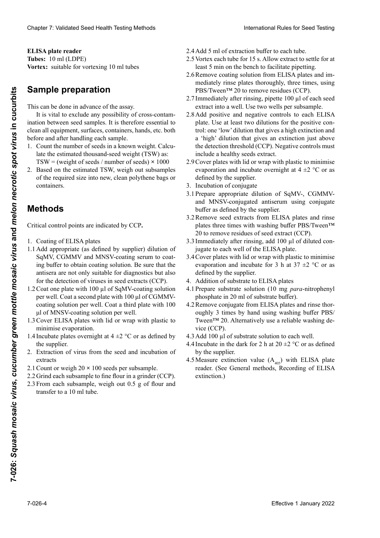#### **ELISA plate reader**

**Tubes:** 10 ml (LDPE) **Tubes:** 10 ml (LDPE)<br>**Vortex:** suitable for vortexing 10 ml tubes

#### $\mathsf{Sample}\ \mathsf{preparation}\ \mathsf{S}$ de 0,1 unidades de pH **Vortex:** Eignung zum Vortexen von 10 ml **Étuve :** capable de maintenir une température de 37±2 °C

This can be done in advance of the assay.

It is vital to exclude any possibility of cross-contamination between seed samples. It is therefore essential to mation between seed samples. It is therefore essential to<br>clean all equipment, surfaces, containers, hands, etc. both **Reference** and after handling each sample.

- before and after handling each sample.<br>1. Count the number of seeds in a known weight. Calcu-1. Councine mantener of seeds in a higher music.<br>
Intervention and thousand-seed weight (TSW) as:<br>
TSW = (weight of seeds) pumber of seeds) × 1000.  $TSW = (weight of seeds / number of seeds) \times 1000$
- 15W (weight of seeds) hannoer of seeds) <sup>2</sup> 1000<br>2. Based on the estimated TSW, weigh out subsamples 2. **Dasca** on the esting V<sub>1</sub> me required size lino new, crean pory t  $\epsilon$ . Based on the estimated TDW, weigh our subsamples of the required size into new, clean polythene bags or  $\alpha$ <sup>r</sup>eformation und  $\alpha$ -pro $\alpha$ -pro $\alpha$ -pro $\alpha$ -pro $\alpha$ -pro $\alpha$ -pro $\alpha$ -pro $\alpha$ -pro $\alpha$ -pro $\alpha$ -pro $\alpha$ -pro $\alpha$ -pro $\alpha$ -pro $\alpha$ -pro $\alpha$ -pro $\alpha$ -pro $\alpha$ -pro $\alpha$ -pro $\alpha$ -pro $\alpha$ -pro $\alpha$ -pro $\alpha$ -pro $\alpha$ -pro $\alpha$ -pro $\alpha$ -pr  $\alpha$ mainers, etc. avant et après manipulation de chaque manipulation de chaque  $\alpha$ containers.

### **Methods** bestimmen. Berechnung des Tausendkorngewichtes

Esto se puede realizar antes de realizar el ensayo. tical control points are indicated by  $CCP$ .  $\mathbb{R}^{\mathbb{Z} \times \mathbb{Z} \times \mathbb{Z} \times \mathbb{Z} \times \mathbb{Z} \times \mathbb{Z} \times \mathbb{Z} \times \mathbb{Z} \times \mathbb{Z} \times \mathbb{Z} \times \mathbb{Z} \times \mathbb{Z} \times \mathbb{Z} \times \mathbb{Z} \times \mathbb{Z} \times \mathbb{Z} \times \mathbb{Z} \times \mathbb{Z} \times \mathbb{Z} \times \mathbb{Z} \times \mathbb{Z} \times \mathbb{Z} \times \mathbb{Z} \times \mathbb{Z} \times \mathbb{Z} \times \mathbb{Z} \times \mathbb{Z$ tical control points are indicated by CCP. Si l'échantillon soumis est reçu en plusieurs paquets, Critical control points are indicated by CCP.

- 1. Coating of ELISA plates
- 1. Coating of ELISA plates<br>1.1 Add appropriate (as defined by supplier) dilution of 1.1 Add appropriate (as defined by supplier) dilution of SqMV, CGMMV and MNSV-coating serum to coating buffer to obtain coating solution. Be sure that the antisera are not only suitable for diagnostics but also for the detection of viruses in seed extracts (CCP).
- 1.2 Coat one plate with 100 µl of SqMV-coating solution per well. Coat a second plate with 100 μl of CGMMVcoating solution per well. Coat a third plate with 100 μl of MNSV-coating solution per well.
- 1.3 Cover ELISA plates with lid or wrap with plastic to Beschichtungsserum zum Beschichtungspuffer um die **Méthodes** minimise evaporation.
- 1.4 Incubate plates overnight at  $4 \pm 2$  °C or as defined by the supplier.
- 2. Extraction of virus from the seed and incubation of extracts
- 2.1 Count or weigh 20 × 100 seeds per subsample.
- 2.2 Grind each subsample to fine flour in a grinder (CCP).
- Grind each subsample to fine flour in a grinder (CCP).<br>From each subsample, weigh out 0.5 g of flour and<br>transfer to a 10 ml tube. transfer to a 10 ml tube.  $d$  as sensible to  $d$  and  $d$  and  $d$  and  $d$ 2.3 From each subsample, weigh out 0.5 g of flour and
- 2.4 Add 5 ml of extraction buffer to each tube.
- 2.5 Vortex each tube for 15 s. Allow extract to settle for at least 5 min on the bench to facilitate pipetting.<br>2.6 Remove coating solution from ELISA plates and im-
- least 5 min on the bench to facilitate pipetting.<br>2.6 Remove coating solution from ELISA plates and immediately rinse plates thoroughly, three times, using<br>PBS/Tween<sup>TM</sup> 20 to remove residues (CCP). PBS/Tween™ 20 to remove residues (CCP).
- 2.7 Immediately after rinsing, pipette  $100 \mu l$  of each seed<br>extract into a well. Use two wells ner subsample extract into a well. Use two wells per subsample.
- 2.8 Add positive and negative controls to each ELISA plate. Use at least two dilutions for the positive control: one 'low' dilution that gives a high extinction and a 'high' dilution that gives an extinction just above a magnetism and gives an eminerating just associated the detection threshold (CCP). Negative controls must include a healthy seeds extract. Clearly 7: Validated Every Train ab a clear of the state of the state of the state of the state of the state of the state of the state of the state of the state of the state of the state of the state of the state of the P Chaos 7 Voldated Seed Health Foring Models<br>
ELES ARAIS End Universident Rives to Real Health<br>
ELES ARAIS End Universident Rives to Real Health<br>
These for the difference of the difference of the state of the state of the s **Effective Control in the spot virus of the spot virus of the spot virus of the spot virus of the spot virus of the spot virus of the spot virus of the spot virus of the spot virus of the spot virus of the spot virus of** 
	- 2.9 Cover plates with lid or wrap with plastic to minimise  $\frac{1}{2}$  expansion and incubate expansion  $\frac{1}{2}$  in  $\frac{1}{2}$  $\alpha$  vaporation and measure overing that  $\alpha + \pm 2$  by as  $\frac{1}{2}$  exporation and include overlingin at  $\frac{1}{2}$  e or as defined by the supplier.  $\frac{1}{2}$  exponention and incubate expanditude to  $\frac{1}{2}$  =  $\frac{1}{2}$  =  $\frac{1}{2}$  =  $\frac{1}{2}$  =  $\frac{1}{2}$  =  $\frac{1}{2}$  =  $\frac{1}{2}$  =  $\frac{1}{2}$  =  $\frac{1}{2}$  =  $\frac{1}{2}$  =  $\frac{1}{2}$  =  $\frac{1}{2}$  =  $\frac{1}{2}$  =  $\frac{1}{2}$  =  $\frac$ evaporation and incubate overnight at  $4 \pm 2$  °C or as  $4 \pm 2$  °C.
	- $2.7$  Includation of conjugate 3. Incubation of conjugate
	- 5. Includation of conjugate<br>3.1 Prepare appropriate dilution of SqMV-, CGMMV-3.1 Prepare appropriate dilution of SqMV-, CGMMV-<br>and MNSV-conjugated antiserum using conjugate buffer as defined by the supplier.
	- 3.2 Remove seed extracts from ELISA plates and rinse plates three times with washing buffer PBS/Tween $^{\text{Im}}$ 20 to remove residues of seed extract (CCP). Remove seed extracts from ELISA plates and rinse<br>plates three times with washing buffer PBS/Tween<sup>TM</sup><br>20 to remove residues of seed extract (CCP). plates three times with washing buffer PBS/Tween™
	- 20 to remove residues of seed extract (CCP).<br>3.3 Immediately after rinsing, add 100  $\mu$ l of diluted conjugate to each well of the ELISA plate.
	- 3.4 Cover plates with lid or wrap with plastic to minimise evaporation and incubate for 3 h at  $37 \pm 2$  °C or as defined by the supplier. Cover plates with lid or wrap with plastic to minimise<br>evaporation and incubate for 3 h at  $37 \pm 2$  °C or as<br>defined by the supplier. evaporation and incubate for 3 h at  $37 \pm 2$  °C or as
	- 4. Addition of substrate to ELISA plates
	- 4.1 Prepare substrate solution (10 mg *para*-nitrophenyl phosphate in 20 ml of substrate buffer).
	- 4.2 Remove conjugate from ELISA plates and rinse thor-4.2 Remove conjugate from ELISA plates and rinse thor-<br>oughly 3 times by hand using washing buffer PBS/ Tween™ 20. Alternatively use a reliable washing device (CCP). vice (CCP).<br>4.3 Add 100  $\mu$ l of substrate solution to each well.
	-
	- 4.4 Incubate in the dark for 2 h at 20  $\pm$ 2 °C or as defined by the supplier.
	- 4.5 Measure extinction value  $(A_{405})$  with ELISA plate  $t_{\text{0}}$  reader (See General methods Recording of FUISA  $\frac{1}{2}$  extinction  $\frac{1}{2}$  $\frac{4}{\sqrt{2}}$  $\frac{405}{2}$  reader. (See General methods, Recording of ELISA  $\alpha$  extinction  $\alpha$  $\frac{1}{2}$  $\frac{405}{400}$  reader (See General methods Recording of ELISA) reader. (See General methods, Recording of ELISA extinction)  $\ldots$ extinction.)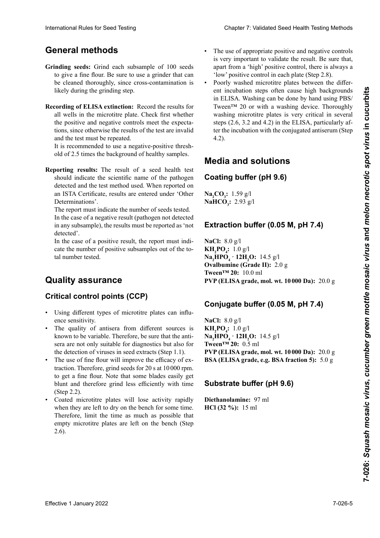### **Métodos generales Allgemeine Methoden Méthodes générales General methods**

- Grinding seeds: Grind each subsample of 100 seeds to give a fine flour. Be sure to use a grinder that can be cleaned thoroughly, since cross-contamination is<br>likely during the grinding step. likely during the grinding step. la molienda. l'étape de broyage.
- all wells in the microtitre plate. Check first whether the positive and negative controls meet the expecta-<br>tions, since otherwise the results of the test are invalid tions, since otherwise the results of the test are invalid expectative survey and the test must be resulted to the contrario, los results and the test must be repeated. and the test must be repeated.<br>It is recommended to use a negative-positive thresh-**Recording of ELISA extinction:** Record the results for

 $\frac{1}{2}$ an  $\frac{1}{2}$  Es recomendable usar un umbral negativo/positivo de  $T_{\text{eff}}$  is recommended to disc a r of 2.5 times the outriground of healthy samples.  $1$ l est recommendé de des a négatif-positif-positif-positif-positif-positif-positif-positif-positif-positif-positif-positif-positif-positif-positif-positif-positif-positif-positif-positif-positif-positif-positif-positifold of 2.5 times the background of healthy samples.

Reporting results: The result of a seed health test should indicate the selement hance of the pamogen<br>detected and the test method used. When reported on  $\frac{1}{2}$ detected and the test méthod dised. When reported on<br>an ISTA Certificate, results are entered under 'Other Determinations .<br> should indicate the scientific name of the pathogen beterminations .<br>= an ISTA Certificate, results are entered under 'Other meterminations .<br>
Separations dans le Bulletin ISTA. Determinations'.

I ne report must indicate the number of seeds In the case of a negative result (pathogen not detected In the case of a negative result (pathogen not detected<br>in any subsample), the results must be reported as 'not  $\theta$  detected. I ne report must indicate the number of seeds tested. The report must indicate the number of seeds tested. detected'.

In the case of a positive result, the report must indicate the number of positive subsamples out of the total number tested. detected.<br>In the case of a positive result, the report must indicate the number of positive subsamples out of the to-In the case of a positive result, the report must indi-

#### total analizado. men n und ist ungefähr 3/n (P = 0,95)(siehe Roberts *et*  **Quality assurance**

# **Quality assurance<br>Critical control points (CCP)**

- Using different types of microtitre plates can influence sensitivity.
- The quality of antisera from different sources is<br>known to be variable. Therefore, be sure that the antiknown to be variable. Therefore, be sure that the antiand which del curricular entrepreneurs constant the difference of the curricular sera are not only suitable for diagnostics but also for the detection of viruses in seed extracts (Step 1.1).
- The use of fine flour will improve the efficacy of extraction. Therefore, grind seeds for 20 s at 10000 rpm. to get a fine flour. Note that some blades easily get el uso de harina fina mejorará la extractiva mejorará la extractiva de la extractiva de la extracción. Por la tanto, se de por la tanto, se de la tanto de la tanto de la ciencia de la semilla de la ciencia de la tanto de la ciencia de la ciencia de la ciencia de la ciencia de la ciencia de la ciencia de la ciencia de cher Typen von Mikrotiter min von Finanz einzug ger  $(Step 2.2).$ blunt and therefore grind less efficiently with time  $(f_{\text{tran}} | 2)$
- Coated microtitre plates will lose activity rapidly beduce intervalue places with lose dettying rapidly when they are left to dry on the bench for some time. when they are left to dry on the bench for some time.<br>Therefore, limit the time as much as possible that  $t$  increased,  $\lim_{t \to 0} t$ . empty microtitre plates are left on the bench (Step 2.6).  $\lambda$ diferentes pasos del análisis, cuando se dejan secar du- $E(0)$ . 2.6).
- The use of appropriate positive and negative controls The use of appropriate positive and negative controls<br>is very important to validate the result. Be sure that, is very important to validate the result. Be sure that, apart from a 'high' positive control, there is always a 'low' positive control in each plate (Step 2.8).
- Poorly washed microtitre plates between the different incubation steps often cause high backgrounds in ELISA. Washing can be done by hand using PBS/  $\frac{1}{2}$  Tween<sup>TM</sup> 20 or with a washing device Thoroughly washing microtitre plates is very critical in several steps  $(2.6, 3.2 \text{ and } 4.2)$  in the ELISA, particularly after the incubation with the conjugated antiserum (Step  $(1, 2)$ ) positivo aproximado para el lavado para el lavado. El lavado minucioso el lavado. El lavado minucioso minucios  $\alpha$ 'low' positive control in each plate (Step 2.8).<br>• Poorly washed microtitre plates between the different incubation steps often cause high backgrounds was die kann mit Hand unter Verwendung von Passauling von Passauling von Passauling von Passauling von Passaul<br>4 2 N  $T_{\text{max}}$ in ELISA. Washing can be done by hand using PBS/<br>Tween<sup>TM</sup> 20 or with a washing device. Thoroughly<br>washing microtitre plates is very critical in several<br>steps (2.6, 3.2 and 4.2) in the FLISA, particularly af- $\overline{a}$ International Rules for Seed Testing Control Control Control Control Control Control Control Control Control Control Control Control Control Control Control Control Control Control Control Control Control Control Control Tween™ 20 or with a washing device. Thoroughly 4.2).

#### incubación del antisuero conjugado (Paso 4.2).<br>Fuerte antisus besonders der Inkubation mit konge in der Inkubation mit konge in der Inklusionen mit konge in der Inklusionen<br>Der Inkubation mit konge in der Inklusionen mit konge in der Inklusionen mit konge in der Inklusionen mit kong **Milieux et solutions Media and solutions**

#### **Coating buffer (pH 9.6)** sering buffer ( **Tampon couche (pH 9,6) Coating buffer (pH 9.6)**

**Buffer de sensibilización (p. 1.59 g/l)<br>
<b>Na ILCO** : 2.92 a /l **Na<sub>2</sub>CO<sub>3</sub>:** 1,59 g/l<br>**NoHCO :** 2.02 g **NaHCO<sub>3</sub>:** 2.93 g/l

### Extraction but **Na2 CO3 :** 1,59 g/l **Tampon d'extraction (0,05 M, pH 7,4) Extraction buffer (0.05 M, pH 7.4)**

**Buffer de extraction (0,05 M)**  $\mu$  $\mathbf{Na}_2\mathbf{HPO}_4 \cdot \mathbf{12H}_2\mathbf{O}$ : 14.5 g/l **Ovalbumine (Grade II):** 2.0 g **Tween™ 20:** 10.0 ml **PVP (ELISA grade, mol. wt. 10000 Da):** 20.0 g  $\mathbf{N}$   $\mathbf{C}$   $\mathbf{0}$ **NaCl :** 8,0 g/l **NaCl:** 8.0 g/l **KH<sub>2</sub>PO<sub>4</sub>:**  $1.0 \text{ g/l}$ 

### 20,0 g **Tween™ 20:** 10 ml **Conjugate buffer (0.05 M, pH 7.4) Tampon conjugué (0,05 M, pH 7,4)**

**KH<sub>2</sub>PO<sub>4</sub>:** 1.0 g/l.  $\int \mathbf{I} \cdot \mathbf{R} \cdot \mathbf{R} \cdot \mathbf{R}$  **120:** 0.5 ml **PVP (ELISA grade, mol. wt. 10000 Da):** 20.0 g **BSA** (ELISA grade, e.g. BS Tween™ 20: 0,5 ml<br>20: 0,5 ml<br>20: 0,5 ml 20,0 g **NaCl:** 8.0 g/l **RSA** *CELISA* **PO4 :** 1,0 g/l  $\mathbf{Na}_2 \mathbf{\ddot{H}} \mathbf{PO}_4 \cdot \mathbf{12H}_2 \mathbf{O}: 14.5 \text{ g/l}$ **PSA** (ELISA grade, e.g. **PSA** fraction 5): 50 **1000 10000 10000 1000 1000 1000 1000 5000 1000 1000 1000 1000 1000 1000 1000 1000 1000 1000 1000 1000 1000 1000 1000 1000 1000 1000 1000 1000 1000 1000 1000 10** 

#### $h$ etr **BEASTLES BETS:** (p. 5,0) **Subetrate buff PVP (ELISA-Qualität, Molekulargewicht 10 000 Da): Substrate buffer (pH 9.6)**

 $B = \frac{1}{2}$  /0); 15  $\text{m}$ **Diethanolamine:** 97 ml **BRA (22.** 0/5, 15, grade): **BRANCHIST SCRIPTION HCl (32 %):** 15 ml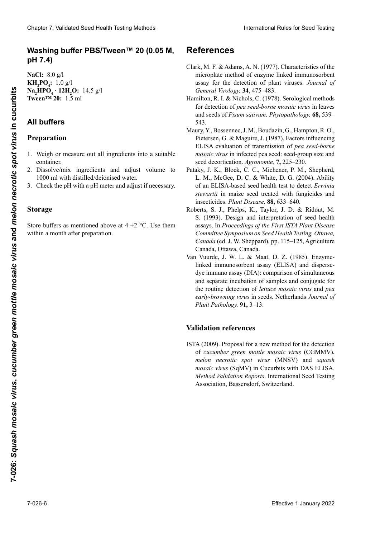### **Washing buffer PBS/Tween™ 20 (0.05 M, (0,05 M, pH 7,4) pH 7.4): (0,05 pH 7.4)**

**NaCl:** 8,0 g/l g/l**NaCl :** 8,0 g/l **NaCl:** 8.0 g/l  $KH_2PO_4$ : 1.0 g/l  $\mathbf{Na}_2 \mathbf{\dot{H}} \mathbf{PO}_4 \cdot \mathbf{12H}_2 \mathbf{O}$ : 14.5 g/l **Tween™ 20:** 1,5 ml **Tween™ 20:** 1,5 ml **20 :** 1,5 ml **Tween™ 20:** 1.5 ml

### **Todos los buffers Für alle Puffer Tous les tampons All buffers**

### **Preparación Herstellung Préparation Preparation**

- 1. Weigh or measure out all ingredients into a suitable weign of measure
- 2. Disolver/mezclar los ireactivos y ajustar el volumen a Auffüllen des Volumens auf 1000 ml mit destillier-1000 ml con agua destilada/desionizada. lume à 1000 ml avec de l'eau distillée/désionisée. 1000 ml with distilled/deionised water. tempory was deinigered was der mission oder mission oder mission oder mission oder mission oder mission oder m<br>Dissolver mission of the mission of the mission of the mission of the mission of the mission of the mission of Euration condumer.<br>2. Dissolve/mix ingredients and adjust volume to
- $\frac{3}{2}$   $\frac{6!}{2!}$  d  $\frac{1}{4}$   $\frac{1}{2!}$   $\frac{1}{2!}$   $\frac{1}{2!}$   $\frac{1}{2!}$   $\frac{1}{2!}$   $\frac{1}{2!}$   $\frac{1}{2!}$   $\frac{1}{2!}$   $\frac{1}{2!}$   $\frac{1}{2!}$   $\frac{1}{2!}$   $\frac{1}{2!}$   $\frac{1}{2!}$   $\frac{1}{2!}$   $\frac{1}{2!}$   $\frac{1}{2!}$   $\frac{1}{2!}$  CHECK THE  $\frac{1000 \text{ m}}{14} \frac{\text{with}}{\text{if}}$ 3. Über und der with a pH-meter and adjust if neces Food in with distinct detonsed water.<br>3. Check the pH with a pH meter and adjust if necessary.

#### **Almacenaje Lagerung Stockage Storage**

Store buffers as mentioned above at  $4 \pm 2$  °C. Use them within a month after preparation. Stocker les tampons comme mentionné ci-dessus à Store buffers as mentioned above at  $4 \pm 2$  °C. Use them

### **Referencias Literaturquellen Références References**

- Clark, M. F. & Adams, A. N. (1977). Characteristics of the Clark, M. F. & Adams, A. N. (1977). Characteristics of the microplate method of enzyme linked immunosorbent microplate method of enzyme linked immunosorbent assay for the detection of plant viruses. *Journal of*  assay for the detection of plant viruses. *Journal of General Virology,* **34**, 475–483. *Virology*, 475–483. *General Virology,* **34**, 475–483.
- Hamilton, R. I. & Nichols, C. (1978). Serological methods Hamilton, R. I. & Nichols, C. (1978). Serological methods for detection of *pea seed-borne mosaic virus* in leaves for detection of *pea seed-borne mosaic virus* in leaves and seeds of *Pisum sativum*. *Phytopathology*, 68, 539– 543. 543.
- Maury, Y., Bossennec, J. M., Boudazin, G., Hampton, R. O., Maury, Y., Bossennec, J. M., Boudazin, G., Hampton, R. O., Pietersen, G. & Maguire, J. (1987). Factors influencing Pietersen, G. & Maguire, J. (1987). Factors influencing ELISA evaluation of transmission of *pea seed-borne*  ELISA evaluation of transmission of *pea seed-borne mosaic virus* in infected pea seed: seed-group size and *mosaic virus* in infected pea seed: seed-group size and seed decortication. *Agronomie,* **7,** 225–230. *Agronomie*, seed decortication. *Agronomie,* **7,** 225–230.
- Pataky, J. K., Block, C. C., Michener, P. M., Shepherd, Pataky, J. K., Block, C. C., Michener, P. M., Shepherd,  $\mu$ <sub>M</sub>, J. K., Diock, C. C., Michelei, T. M., Shepherd, of an ELISA-based seed health test to detect *Erwinia*  L. M., McGee, D. C. & White, D. G. (2004). Ability *stewartii* in maize seed treated with fungicides and *stewartii* in maize seed treated with fungicides and insecticides. *Plant Disease,* **88,** 633–640. Insecucides. Plant Disease,  $\delta \delta$ , 055–040. *Disease*, insecticides. *Plant Disease,* **88,** 633–640. of an ELISA-based seed health test to detect *Erwinia*
- Roberts, S. J., Phelps, K., Taylor, J. D. & Ridout, M. assays. In *Proceedings of the First ISTA Plant Disease*  S. (1993). Design and interpretation of seed health *Committee Symposium on Seed Health Testing, Ottawa,*  assays. In *Proceedings of the First ISTA Plant Disease Committee Symposium on Seed Health Testing, Ottawa,* Canada (ed. J. W. Sheppard), pp. 115–125, Agriculture Canada, Ottawa, Canada.
- Van Vuurde, J. W. L. & Maat, D. Z. (1985). Enzymelinked immunosorbent assay (ELISA) and dispersedye immuno assay (DIA): comparison of simultaneous and separate incubation of samples and conjugate for the routine detection of *lettuce mosaic virus* and *pea Plant Pathology,* **91,** 3–13. *Pathology*, **91,** 3–13. the routine detection of *lettuce mosaic virus* and *pea early-browning virus* in seeds. Netherlands *Journal of*  Custer 7: Validated Sees Hewitt Theirs Debta<br>
Validation Section 2022 CO.05 M, References<br>
Method, X. & Advance A. S. (1973). Chancelesians of the Section 2022<br>
Survey in the debta of stress of stress of stress of stress Chever 7 Voltaines See Health<br>
Washingtown PH 20 (0.05 M). References<br>
MESS (2.06 M) References<br>
MESS (2.06 M) References<br>
MESS (2.06 M) References<br>
MESS (2.06 M) References and the material contract and contract and cont EFFective 14.5 per limit of the species of the species of the species of the species of the species of the species of the species of the species of the species of the species of the species of the species of the species o *Plant Pathology,* **91,** 3–13.

### **Validation references**

ISTA (2009). Proposal for a new method for the detection of *cucumber green mottle mosaic virus* (CGMMV),  $melon$  necrotic spot virus (MNSV) and *squash Mosaic virus* (SqMV) in Cucurbits with DAS ELISA. *Method Validation Reports*. International Seed Testing Association, Bassersdorf, Switzerland.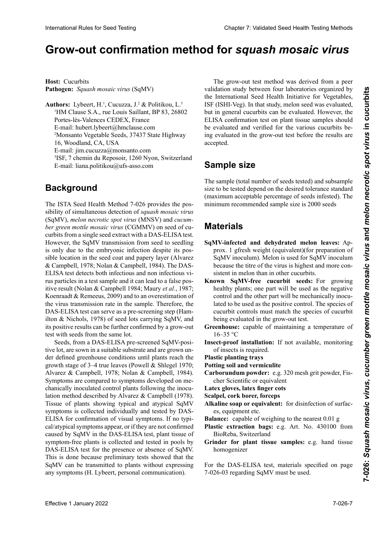# Grow-out confirmation method for squash mosaic virus

**Host:** Cucurbits **Krankheitserreger:** *Squash mosaic virus* (SqMV) **Pathogen:** *Squash mosaic virus* (SqMV)

**Authors:** Lybeert, H.<sup>1</sup>, Cucuzza, J.<sup>2</sup> & Politikou, L.<sup>3</sup> <sup>1</sup>HM Clause S.A., rue Louis Saillant, BP 83, 26802 E-mail: hubert.lybeert@hmclause.com <sup>2</sup>Monsanto Vegetable Seeds, 37437 State Highway 16, Woodland, CA, USA E-mail: jim.cucuzza@monsanto.com <sup>3</sup>ISF, 7 chemin du Reposoir, 1260 Nyon, Switzerland E-mail: liana.politikou@ufs-asso.com Portes-lès-Valences CEDEX, France

#### ISF, 7 chemin du Reposoir, 1260 Nyon, Switzerland  $\mathsf{Background}$ Courriel : liana.politikou@ufs-asso.com

sibility of simultaneous detection of *squash mosaic virus* ber green mottle mosaic virus (CGMMV) on seed of cucurbits from a single seed extract with a DAS-ELISA test. However, the SqMV transmission from seed to seedling is only due to the embryonic infection despite its possible location in the seed coat and papery layer (Alvarez However, the SqMV transmission from seed to seedling<br>is only due to the embryonic infection despite its pos-<br>sible location in the seed coat and papery layer (Alvarez<br>& Campbell, 1978; Nolan & Campbell, 1984). The DAS-ELISA test detects both infectious and non infectious virus particles in a test sample and it can lead to a false positive result (Nolan & Campbell 1984; Maury et al., 1987; Koenraadt & Remeeus, 2009) and to an overestimation of the virus transmission rate in the sample. Therefore, the DAS-ELISA test can serve as a pre-screening step (Ham-DAS-ELISA test can serve as a pre-screening step (Ham-Koenraadt & Remeeus, 2009) and to an overestimation of<br>the virus transmission rate in the sample. Therefore, the<br>DAS-ELISA test can serve as a pre-screening step (Ham-<br>ilton & Nichols, 1978) of seed lots carrying SqMV, and its positive results can be further confirmed by a grow-out<br>test with seeds from the same lot.<br>Seeds, from a DAS-ELISA pre-screened SqMV-posi-<br>tive lot, are sown in a suitable substrate and are grown untest with seeds from the same lot. The ISTA Seed Health Method 7-026 provides the pos-(SqMV), *melon necrotic spot virus* (MNSV) and *cucum*-ELISA test detects both infectious and non infectious virus particles in a test sample and it can lead to a false positive result (Nolan & Campbell 1984; Maury *et al.*, 1987; curbits from a single seed extract with a DAS-ELISA test.<br>However, the SqMV transmission from seed to seedling<br>is only due to the embryonic infection despite its pos-<br>sible location in the seed coat and papery layer (Alvar rus particles in a test sample and it can lead to a false positive result (Nolan & Campbell 1984; Maury *et al.*, 1987; Koenraadt & Remeeus, 2009) and to an overestimation of the virus transmission rate in the sample. Therefore, the DAS-ELISA test can serve as a pre-screening step (Hamilton & Nichols, 1978) of seed lots carrying SqMV, and its positive results can be further confirmed by a grow-out

Seeds, from a DAS-ELISA pre-screened SqMV-positive lot, are sown in a suitable substrate and are grown un-Seeds, from a DAS-ELISA pre-screened SqMV-positive lot, are sown in a suitable substrate and are grown under defined greenhouse conditions until plants reach the der defined greenhouse conditions until plants reach the growth stage of 3–4 true leaves (Powell & Shlegel 1970; Alvarez & Campbell, 1978; Nolan & Campbell, 1984). Symptoms are compared to symptoms developed on mechanically inoculated control plants following the inoculation method described by Alvarez & Campbell (1978). chanically inoculated control plants following the inoculation method described by Alvarez & Campbell (1978).<br>Tissue of plants showing typical and atypical SqMV symptoms is collected individually and tested by DASsymptoms is collected individually and tested by DAS-<br>ELISA for confirmation of visual symptoms. If no typical/atypical symptoms appear, or if they are not confirmed caused by SqMV in the DAS-ELISA test, plant tissue of caused by SqMV in the DAS-ELISA test, plant tissue of symptom-free plants is collected and tested in pools by symptom-free plants is collected and tested in pools by<br>DAS-ELISA test for the presence or absence of SqMV. caused by SqMV in the DAS-ELISA test, plant tissue of<br>symptom-free plants is collected and tested in pools by<br>DAS-ELISA test for the presence or absence of SqMV.<br>This is done because preliminary tests showed that the This is done because preliminary tests showed that the SqMV can be transmitted to plants without expressing any symptoms (H. Lybeert, personal communication). However, 1987. The general states enter the states of animals were the states of animals were the states of the states of the states of the states of the states of the states of the states of the states of the states of t Anthors Lybear, H.: Coronza, J.7 & Pointkon, L./ Its Instead on the Internal based (less) hands have been selected by the selected by the collect of the selected by the collect of the selected by the collect of the selecte International Rule International Rule Testing Compact Compact Compact Compact Compact Compact Compact Compact Compact Compact Compact Compact Compact Compact Compact Compact Compact Compact Compact Compact Compact Compact

the International Seed Health Initiative for Vegetables, ISF (ISHI-Veg). In that study, melon seed was evaluated, but in general cucurbits can be evaluated. However, the ELISA confirmation test on plant tissue samples should be evaluated and verified for the various cucurbits being evaluated in the grow-out test before the results are accepted. accepted.  $\blacksquare$ validation study between four laboratories organized by ISF (ISHI-Veg). In that study, melon seed was evaluated, but in general cucurbits can be evaluated. However, the ELISA confirmation test on plant tissue samples should The grow-out test method was derived from a peer validation study between four laboratories organized by the International Seed Health Initiative for Vegetables, ISF (ISHI-Veg). In that study, melon seed was evaluated, but

#### ternational Seed Health Initiative for Vegetable Crops, ISF Sample size este este estudio se evaluá semilla de melon, en el semilla de melon, en el semilla de melon, en e **Sample size** cette étude, des semences de melon ont été testées mais les

The sample (total number of seeds tested) and subsample size to be tested depend on the desired tolerance standard (maximum acceptable percentage of seeds infested). The minimum recommended sample size is 2000 seeds. **Taille de l'échantillon** size to be tested depend on the desired tolerance standard (maximum acceptable percentage of seeds infested). The minimum recommended sample size is 2000 seeds

#### **Tamaño de la muestra** der gewünschten Toleranznorm (maximal akzeptabler Pro-La taille de l'échantillon (nombre total de semences tes-**Materials** prüften Samen) und der Umfang der Teilprobe hängen von

- SqMV-infected and dehydrated melon leaves: Approx. 1 gfresh weight (equivalent)(for preparation of SqMV inoculum). Melon is used for SqMV inoculum because the titre of the virus is highest and more consistent in melon than in other cucurbits.
- control and the other part will be mechanically inocue ucurbit controls must match the species of cucurbit being evaluated in the grow-out test. Known SqMV-free cucurbit seeds: For growing lated to be used as the positive control. The species of<br>cucurbit controls must match the species of cucurbit healthy plants; one part will be used as the negative
- eenhouse: capable of maintaining a temperature of 16–35 °C preparation de space utilisé pour de sucurbit being evaluated in the grow-out test.<br>**Example et plus électure et plus constant dans le se autres constant dans les autres constant dans les autres l**<br> $16-35$  °C **Greenhouse:** capable of maintaining a temperature of
- **Insect-proof installation:** If not available, monitoring of insects is required. of insects is required.
- **Plastic planting trays**
- **Plastic planting trays<br>Potting soil and vermiculite**
- Carborundum powder: e.g. 320 mesh grit powder, Fischer Scientific or equivalent cher Scientific or equivalent<br>Latex gloves, latex finger cots

- **Scalpel, cork borer, forceps**
- Scalpel, cork borer, forceps<br>Alkaline soap or equivalent: for disinfection of surfaces, equipment etc.
- **Balance:** capable of weighing to the nearest 0.01 g
- Plastic extraction bags: e.g. Art. No. 430100 from<br>BioReba, Switzerland BioReba, Switzerland
- Grinder for plant tissue samples: e.g. hand tissue **Sustrato para almácigo y vermiculita Skalpell, Korkbohrer, Pinzetten Scalpel, emporte-pièce, pinces** homogenizer

For the DAS-ELISA test, materials specified on page 7-026-03 regarding SqMV must be used.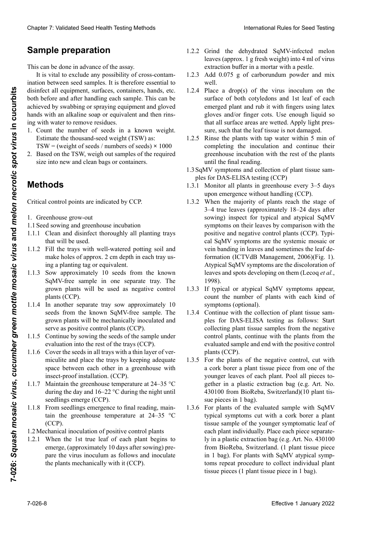### ${\sf Sample~preparation}$

This can be done in advance of the assay.

It is vital to exclude any possibility of cross-contamination between seed samples. It is therefore essential to disinfect all equipment, surfaces, containers, hands, etc. both before and after handling each sample. This can be hands with an alkaline soap or equivalent and then rinsrianus with an antanne soap or equivalent and the<br>ing with water to remove residues. achieved by swabbing or spraying equipment and gloved

- Estimate the thousand-seed weight (1.5 w) as:<br>TSW = (weight of seeds / numbers of seeds)  $\times$  1000<br>2. Besed on the TSW weigh out samples of the required La préparation peut être faite à l'avance.<br>Estimate the thousand-seed weight (TSW) as: 1. Count the number of seeds in a known weight.
- E. Bused on the 15H, weigh out sumples of the  $Siz$  into new and elean  $\log_3$  or containers. 2. Based on the TSW, weigh out samples of the required  $\ddot{a}$ . Bused on the 15 $n$ , weigh our sumpres or the required size into new and clean bags or containers.

#### **nethods** avec du savon alcalin ou équipements et les mains gantées avec du savon alcalin ou équipements et les menos, etc. antes y después de manipular cada muestra. En un establecer que manipular cada muestra de manipula Methods<br>Seife oder vergleichbarem und dem nach

 $\sum_{i=1}^{n}$ Critical control points are indicated by CCP. Critical control points are indicated by CCP.

- gar con agua para remover los residuos. Critical control points are indicated by CCP.<br>1. Greenhouse grow-out bestimmen. Berechnung des Tausendkorngewichtes
- 1.1 Seed sowing and greenhouse incubation
- 1.1 Seed sowing and greenhouse incubation<br>1.1.1 Clean and disinfect thoroughly all planting trays that will be used.
- 1.1.2 Fill the trays with well-watered potting soil and make holes of approx. 2 cm depth in each tray using a planting tag or equivalent.
- SqMV-free sample in one separate tray. The plants (CCP). 1.1.3 Sow approximately 10 seeds from the known grown plants will be used as negative control
- seeds from the known SqMV-free sample. The grown plants will be mechanically inoculated and serve as positive control plants (CCP). serve as positive control plants (CCP).<br>1.1.5 Continue by sowing the seeds of the sample under 1.1.4 In another separate tray sow approximately 10
- evaluation into the rest of the trays (CCP).<br>1.1.6 Cover the seeds in all trays with a thin layer of ver-
- 1.1.6 Cover the seeds in all trays with a thin layer of ver-<br>miculite and place the trays by keeping adequate<br>space between each other in a greenhouse with miculite and place the trays by keeping adequate space between each other in a greenhouse with  $\frac{1}{2}$  insect-proof installation. (CCP).
- $\frac{1}{26}$  separate de la muestra verificada la muestra et  $24, 25$  %.  $\frac{1}{2}$ seedlings emerge (CCP). 1.1.7 Maintain the greenhouse temperature at 24–35 °C<br>
during the day and 16, 22 °C during the pight until 1.1.7 Maintain the greenhouse temperature at  $24-35$  °C during the day and  $16-22$  °C during the night until<br>see dlines on any  $(GCD)$
- 1.1.8 From seedlings emergence to final reading, main- $\frac{1}{1}$  millar de la muerte de la muerte de S $\frac{1}{2}$ . La  $\frac{1}{2}$ . La  $\frac{1}{2}$ . La  $\frac{1}{2}$ . La  $\frac{1}{2}$ . La  $\frac{1}{2}$ . La  $\frac{1}{2}$ . La  $\frac{1}{2}$ . La  $\frac{1}{2}$ . La  $\frac{1}{2}$ . La  $\frac{1}{2}$ . La  $\frac{1}{2}$ . La  $\frac{1}{$  $p_{\text{norm}}$  and  $p_{\text{norm}}$  is the mechanical server mechanical server mechanical mechanical mechanical mechanical mechanical mechanical mechanical mechanical mechanical mechanical mechanical mechanical mechanical mechanical  $\frac{1}{2}$  services (CCI). From seedings einergence to mail reading, main-<br>tain the greenhouse temperature at  $24-35$  °C<br>(CCP). tain the greenhouse temperature at  $24-35$  °C (CCP). (CCP).
- 1.2 Mechanical inoculation of positive control plants
- 1.2.1 When the 1st true leaf of each plant begins to emerge, (approximately 10 days after sowing) prepare the virus inoculum as follows and inoculate the plants mechanically with it (CCP).
- 1.2.2 Grind the dehydrated SqMV-infected melon leaves (approx. 1 g fresh weight) into 4 ml of virus<br>extraction buffer in a mortar with a pestle. extraction buffer in a mortar with a pestle.
- 1.2.3 Add 0.075 g of carborundum powder and mix well. luación final, mantener la temperatura de la temperatura de la temperatura del inversion de la temperatura del i well.<br>1.2.4 Place a drop(s) of the virus inoculum on the well.
- surface of both cotyledons and 1st leaf of each emerged plant and rub it with fingers using latex<br>gloves and/or finger cots. Use enough liquid so gloves and/or finger cots. Use enough liquid so betud de la surface areas are wetted. Apply light pressure, such that the leaf tissue is not damaged.
- 1.2.5 Rinse the plants with tap water within 5 min of completing the inoculation and continue their<br>creations incubation with the rest of the plants empremg are mecanities and committee then greenhouse incubation with the rest of the plants greenhouse medadion with the rest of the piants<br>until the final reading.
- unit une mai reading.<br>1.2.5 AGV generation en de allection ef plant tierre comples for DAS-ELISA testing (CCP) pros for DAS-ELISA results  $(CCI)$ 1.3 SqMV symptoms and collection of plant tissue sam-<br> $\frac{1}{2}$ . Eq. DAS ELISA testima (GGD)
- 1.3.1 Monitor all plants in greenhouse every 3–5 days  $\mu$ pon emergence without handling  $(\text{CF})$ .  $\mu$ pon einergence without handling (CCP). 1.3.1 Monitor all plants in greenhouse every 3–5 days<br>upon emergence without handling (CCP).<br>1.3.2 When the majority of plants reach the stage of upon emergence without handling (CCP).
- when the majority of plants reach the stage of when the majority of plants reach the stage of 3–4 true leaves (approximately 18–24 days after 3–4 true leaves (approximately 18–24 days after<br>sowing) inspect for typical and atypical SqMV symptoms on their leaves by comparison with the positive and negative control plants (CCP). Typical SqMV symptoms are the systemic mosaic or vein banding in leaves and sometimes the leaf devein banding in leaves and sometimes the leaf de-<br>formation (ICTVdB Management, 2006)(Fig. 1). Atypical SqMV symptoms are the discoloration of leaves and spots developing on them (Lecoq *et al.*, 1998). 1998). leaves and spots developing on them (Lecoq *et al.*, 1998).<br>1.3.3 If typical or atypical SqMV symptoms appear, Gültig ab 1. Januar 2022Validierte Methoden zur Gesundheitsprüfung von Saatgut Internationale Vorschriften für die Prüfung von Saatgut Chaos 7 Validaris Seat Heill Twing Mathos 1<br>
Sample preparation for the season in the season in the season in the season of the season in the season of the season in the season in the season in the season in the season in Cleares 7: Walistantial Rules from the symptomatic methods of the debtated symbol control international Seed Methods (See Testing Methods (See Testing Methods (See Testing Methods (See Testing Methods International Rules f **Effective 1 Depression and External Solution and the proposition of the system of the system of the system of the system of the system of the system of the system of the system of the system of the system of the system o** 
	- 1.3.3 If typical or atypical SqMV symptoms appear,<br>count the number of plants with each kind of symptoms (optional).
	- symptoms (optional).<br>1.3.4 Continue with the collection of plant tissue samples for DAS-ELISA testing as follows: Start collecting plant tissue samples from the negative collecting plant tissue samples from the negative<br>control plants, continue with the plants from the control plants, continue with the plants from the<br>evaluated sample and end with the positive control evaluated sample and end with the positive control  $\mathbf{plants}(\mathbf{CCP}).$
	- I<br>For the plants of the negative control cut with a cork borer a plant tissue piece from one of the younger leaves of each plant. Pool all pieces to-<br>gether in a plastic extraction bag (e.g. Art. No.<br>420100 from BioBobe Switzerland)(10 plant tis 1.3.3 Sintomas típicos de Symptomas típicos de Symptome sind verkiligen der Symptome sind verkiligen der Symptome sind verkiligen der Symptome sind verkiligen der Symptome sind verkiligen der Symptome sind verkiligen der S somer in a plastic chalaction ong (e.g. 1114-110) sue pieces in 1 bag). plants (CCP).<br>
	1.3.5 For the plants of the negative control, cut with<br>
	2. sorte begre a plant tissue piece from ope of the 430100 from BioReba, Switzerland)(10 plant tis-<br> $m$  avec less in 1 kss)
	- $1.3<\epsilon$  Executado est the exploring counter mid.  $6.3M$ 1.3.6 For plants of the evaluated sample with SqMV zar musika del Control Negativo, ette var plantas del Control Negativo, ette de Control Negativo, ette de Control Negativo, ette de Control Negativo, ette de Control Negativo, ette de Control Negativo, ette de Control Nega tissue sample of the younger symptomatic leaf of each plant individually. Place each piece separately in a plastic extraction bag (e.g. Art. No. 430100 from BioReba, Switzerland. (1 plant tissue piece nom Blokeba, Switzerland. (1 plant ussue piece<br>in 1 bag). For plants with SqMV atypical sympin 1 bag). For plants with SqMV atypical symp-<br>toms repeat procedure to collect individual plant tissue pieces (1 plant tissue piece in 1 bag). 1.3.5 Por plants of the evantated sample with squy<br>typical symptoms cut with a cork borer a plant<br>tissue sample of the younger symptomatic leaf of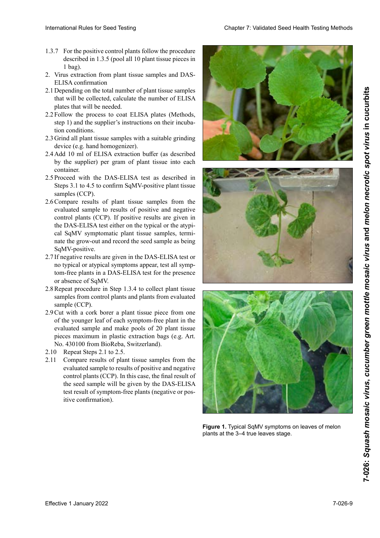- 1.3.7 For the positive control plants follow the procedure described in 1.3.5 (pool all 10 plant tissue pieces in<br>1 bag).<br>us extraction from plant tissue samples and DASd bag).
- 2. Virus extraction from plant tissue samples and DAS-ELISA confirmation
- 2.1 Depending on the total number of plant tissue samples that will be collected, calculate the number of ELISA plates that will be needed.
- 2.2 Follow the process to coat ELISA plates (Methods, step 1) and the supplier's instructions on their incuba- $\frac{1}{1}$  orditions.
- 2.3 Grind all plant tissue samples with a suitable grinding zos de tejido vegetal en 1 bolsa). Symptomen wird die Probenahme wiederholt zur calculer le nombre de plaques ELISA requises. device (e.g. hand homogenizer).
- active (e.g. mana homegemeer).<br>2.4 Add 10 ml of ELISA extraction buffer (as described  $\frac{1}{2}$  confirmation continued by the cumulian continued of by the supplier) per grain or plant tissue mo each Photo suppliers in einem Bellist in einem Bellist in einem Bellist in einem Bellist in einem Bellist in einem B by the supplier) per grain of plant tissue mo each time to me of ELISA extraorion outre (as described by the supplier) per gram of plant tissue into each container.
- 2.5 Proceed with the DAS-ELISA test as described in  $\frac{1}{2}$  is van a necessitation of  $\frac{1}{2}$ .  $2.2$  Steps  $3.1$  to  $4.3$  to commit  $2$ qtvi v-positive plant ussue  $\sum_{n=1}^{\infty}$  (CCP). volume in  $DAS$ -EERA itst as described Steps 3.1 to 4.5 to confirm SqMV-positive plant tissue samples (CCP). par le fournisseur) par gramme de tissu végétal dans samples (CCP).
- Compare results of plant fissue evaluated sample to results of positive and negative control plants (CCP). If positive results are given in the DAS-ELISA test either on the typical or the atypical SqMV symptomatic plant tissue samples, terminate the grow-out and record the seed sample as being SqMV-positive. 2.6 Compare results of plant tissue samples from the 2.6 Compare results of plant tissue samples from the
- 2.7 If negative results are given in the DAS-ELISA test or no typical or atypical symptoms appear, test all symptom-free plants in a DAS-ELISA test for the presence<br>or absence of SqMV. or absence of SqMV.
- 2.8 Repeat procedure in Step 1.3.4 to collect plant tissue 2.8 Repeat procedure in Step 1.3.4 to collect plant tissue<br>samples from control plants and plants from evaluated sample (CCP).
- 2.9 Cut with a cork borer a plant tissue piece from one of the younger leaf of each symptom-free plant in the evaluated sample and make pools of 20 plant tissue pieces maximum in plastic extraction bags (e.g. Art. No. 430100 from BioReba, Switzerland).
- $2.10$  Repeat Steps 2.1 to 2.5.
- 2.11 Compare results of plant tissue samples from the evaluated sample to results of positive and negative control plants (CCP). In this case, the final result of the seed sample will be given by the DAS-ELISA<br>test result of symptom free plants (peoptive en nos  $\frac{1}{10}$ 2.9 De cada planta de la muerta de la muerta de la muerta de la muerta de la muerta de la muerta de la muerta tuve communication). test result of symptom-free plants (negative or posest resure of symptom needs  $\overline{\text{new}}$  communion). 11 V Commandieur).







**Figure 1.** Typical SqMV symptoms on leaves of melon plants at the 3–4 true leaves stage.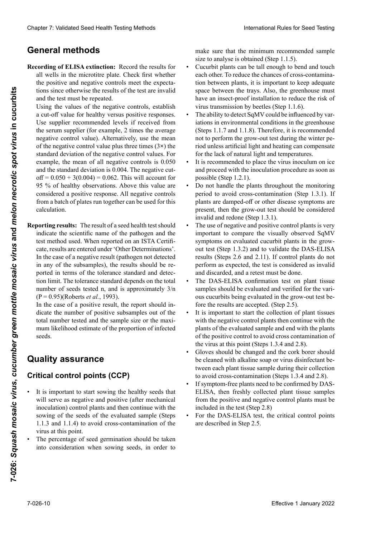### **Métodos generales Allgemeine Methoden Méthodes générales General methods**

Recording of ELISA extinction: Record the results for all wells in the microtitre plate. Check first whether<br>the positive and negative controls meet the expectathe positive and negative controls meet the expecta-<br>tions since otherwise the results of the test are invalid tions since otherwise the results of the test are invalid<br>and the test must be repeated. and the test must be repeated.

Using the values of the negative controls, establish<br>a cut-off value for healthy versus positive responses a cut-off value for healthy versus positive responses. Use supplier recommended levels if received from<br>the serum supplier (for example, 2 times the average<br>negative control value). Alternatively, use the mean the serum supplier (for example, 2 times the average  $\frac{1}{2}$  veces element  $\frac{1}{2}$  veces  $\frac{1}{2}$  and  $\frac{1}{2}$  and  $\frac{1}{2}$  are the mean in  $\frac{1}{2}$  and  $\frac{1}{2}$  are the mean of the negative control value plus three times  $(3x)$  the<br>standard deviation of the negative control values. For standard deviation of the negative control values. For sumatra de viation of the negative control values. Por example, the mean of an hegative controls is 0.050 and the standard deviation is 0.004. The negative cutand the standard deviation is 0.004. The negative edi- $\frac{3(0.000 + 3(0.004)) - 0.002}{14} = 0.002$ . Esto será tomado en cuenta para el cuenta para el cuenta para el cuenta para el cuenta para el cuenta para el cuenta para el cuenta para el cuenta para el cuenta para el cuenta pa 95 % of licality observations. Above this value are considered a positive response. All negative controls Trom a baten of plates run together can be used for this cal culturados al mismo tiempo, pueden ser usa-Clearly 7. Validated Post Festin (heliods)<br>
Gesundheitsprässen in die Normalism (hence the system of the system of the system of the system of the system of the system of the system of the system of the system of the syst native der Mittelwerte zurückente zurückente zurückenden Standard deviation of the negative control values. For<br>example, the mean of all negative controls is 0.050<br>and the standard deviation is 0.004. The negative sutand the standard deviation is 0.00+. The hegative ear-<br> $\mathcal{F} = 0.050 \pm 2(0.004) = 0.062$ . This saille assembly  $\frac{d\mathbf{r}}{dt} = 0.050 + 3(0.004) = 0.002$ . This will account for 35 % of heatily observations. Above this value are<br>considered a positive response. All negative controls From a batch of plates run together can be used for this from a batch of plates run together can be used for this calculation. Chever 7 Voldskei Seel Heili Twing Melode<br>
Chern-Farming Rose to the Team of the numeric form of the numeric form of the numeric and the numeric and the numeric and the numeric and the numeric and the numeric and the nume example, the mean of all negative control values. For example, the mean of all negative controls is 0.050 de cette valueur la réponse est considéré considérée considérée considérée considérée considérée considérée considérée considérée considérée considérée considérée considérée considérée considérée considérée considérée con off =  $0.050 + 3(0.004) = 0.062$ . This will account for **Indication** des résultation des résultations de la résultation de la proposa de la contradició de la contradició de la contradició de la contradició de la contradició de la contradició de la contradició de la contradició Effective 1 January 1982 **Construction Construction** and **a** specific the specific distribution of the specific distribution construction in the specific distribution of the specific distribution of the specific spot viru 95 % of healthy observations. Above this value are calculation.

dos para este cálculo. ten einer Testdurchführung können für die Kalkulation indicate the scientific name of the pathogen and the test method used. When reported on an ISTA Certifitest method used. When reported on an ISTA Certificate, results are entered under 'Other Determinations'. In the case of a negative result (pathogen not detected In the case of a negative result (pathogen not detected<br>in any of the subsamples), the results should be reported in terms of the tolerance standard and detecported in terms of the tolerance standard and detec-<br>tion limit. The tolerance standard depends on the total number of seeds tested n, and is approximately  $3/n$  $(P = 0.95)$ (Roberts *et al.*, 1993). **Reporting results:** The result of a seed health test should tion limit. The tolerance standard depends on the total number of seeds tested n, and is approximately 3/n (P = 0.95)(Roberts *et al.*, 1993).

In the case of a positive result, the report should in-( $P = 0.95$ )(Roberts *et al.*, 1993).<br>In the case of a positive result, the report should in-<br>dicate the number of positive subsamples out of the<br>total number tested and the sample size or the maxitotal number tested and the sample size or the maximum likelihood estimate of the proportion of infected dicar el número de sub-muestras positivas de sub-muestras positivas de sub-muestras positivas de sub-muestras <br>El número de sub-muestras positivas de sub-muestras positivas de sub-muestras de sub-muestras de sub-muestras der positiven zur Gesamtzahl untersuchter Teilproben angegeben werden. **Assurance qualité** dicate the number of positive subsamples out of the seeds.

#### iality a **Qualitätssicherung Points critiques de contrôle (CCP) Quality assurance**

#### **Aseguramiento de calidad Kritische Kontrollpunkte (KKP)** Critical control points (CCP) Critical control points (CCP)

- <sup>•</sup> It is important to start sowing the heatily seeds that will serve as negative and positive (after mechanical moculation) control plants and then continue with the<br>sowing of the seeds of the evaluated sample (Steps sowing or the secas of the evaluated sample (steps  $\frac{1}{2}$  $(1.1.3)$  and  $(1.1.4)$  to avoid cross-contamination of the viius at tiils poliit.<br>Tiil with serve as hegative and positive (after mechanical sowing of the secus of the evaluated sample (Steps<br>1.1.3 and 1.1.4) to avoid cross-contamination of the<br>virus at this point. • It is important to start sowing the healthy seeds that se is important to start sowing the heatily seeds that<br>will serve as negative and positive (after mechanical<br>inoculation) control plants and then continue with the  $1.1.3$  and  $1.1.4$ ) to avoid cross-contamination of the virus at this point.
- The percentage of seed germination should be taken into consideration when sowing seeds, in order to

make sure that the minimum recommended sample size to analyse is obtained (Step  $1.1.5$ ).

- size to analyse is obtained (Step 1.1.5).<br>Cucurbit plants can be tall enough to bend and touch<br>each other. To reduce the chances of cross-contaminaeach other. To reduce the chances of cross-contamina-<br>tion between plants, it is important to keep adequate tion between plants, it is important to keep adequate space between the trays. Also, the greenhouse must have an insect-proof installation to reduce the risk of virus transmission by beetles (Step 1.1.6). • Cucurbit plants can be tall enough to bend and touch
- The ability to detect SqMV could be influenced by variations in environmental conditions in the greenhouse iations in environmental conditions in the greenhouse<br>(Steps 1.1.7 and 1.1.8). Therefore, it is recommended<br>not to perform the grow-out test during the winter pe-(Steps 1.1.7 and 1.1.8). Therefore, it is recommended<br>not to perform the grow-out test during the winter nenot to perform the grow-out test during the winter period unless artificial light and heating can compensate Free amoss aranomi rignt and notuling can compensate for the lack of natural light and temperatures.
- It is recommended to place the virus inoculum on ice re is recommended to place the virus inoculari on loc and proceder with the inoculation procedure as soon as  $\frac{1}{2}$ possible (Step 1.2.1). re is recommended to place the virus inocurant on rec  $\frac{d}{dx}$  and proceed with the inoculation procedure as soon as (f) is recommended. and proceed with the inoculation procedure as soon as  $\frac{1}{2}$
- Do not nantie the plants un'oughout the momentug • Do not nande the piants unoughout the monitoring<br>period to avoid cross-contamination (Step 1.3.1). If plants are damped-off or other disease symptoms are present, then the grow-out test should be considered invalid and redone (Step 1.3.1). • Do not handle the plants throughout the monitoring period to avoid cross-contamination (Step 1.3.1). If
- The use of negative and positive control plants is very important to compare the visually observed SqMV important to compare the visually observed SqMV<br>symptoms on evaluated cucurbit plants in the growout test (Step 1.3.2) and to validate the DAS-ELISA out test (Step 1.3.2) and to validate the DAS-ELISA<br>results (Steps 2.6 and 2.11). If control plants do not perform as expected, the test is considered as invalid and discarded, and a retest must be done.
- The DAS-ELISA confirmation test on plant tissue and discarded, and a retest must be done.<br>• The DAS-ELISA confirmation test on plant tissue<br>samples should be evaluated and verified for the various cucurbits being evaluated in the grow-out test be-<br>fore the results are accepted. (Step 2.5). fore the results are accepted. (Step 2.5).
- It is important to start the collection of plant tissues<br>with the negative control plants then continue with the with the negative control plants then continue with the plants of the evaluated sample and end with the plants of the positive control to avoid cross contamination of<br>the virus at this point (Steps 1.3.4 and 2.8).<br>Gloves should be changed and the cork borer should the virus at this point (Steps 1.3.4 and 2.8).
- Gloves should be changed and the cork borer should be cleaned with alkaline soap or virus disinfectant be-<br>tween each plant tissue sample during their collection tween each plant tissue sample during their collection<br>to avoid cross-contamination (Steps 1.3.4 and 2.8).<br>If symptom free plants need to be confirmed by  $DAS$ to avoid cross-contamination (Steps 1.3.4 and 2.8).
- If symptom-free plants need to be confirmed by DAS-ELISA, then freshly collected plant tissue samples existi, men nesmy concerce paint ussue sur  $\frac{1}{2}$  se necessario de mediante el ensayo de mediante el ensayo de mediante el ensayo de mediante el ensayo de mediante el ensayo de mediante el ensayo de mediante el ensayo de mediante el ensayo de mediante el ensayo ELISTA, their from y conceted plant tissue samples from the positive and negative control plants must be from the positive due négative control phanes must be<br>included in the test (Step 2.8).
- $E = \frac{1}{2} \mathbf{D} \mathbf{A} \mathbf{S} \mathbf{E} \mathbf{I} \mathbf{B} \mathbf{A} + \frac{1}{2} \mathbf{A} \mathbf{I} \mathbf{S} \mathbf{I} \mathbf{I} \mathbf{A} + \frac{1}{2} \mathbf{A} \mathbf{I} \mathbf{I} \mathbf{I} \mathbf{A} \mathbf{I} \mathbf{I} \mathbf{I} \mathbf{I} \mathbf{A} \mathbf{I} \mathbf{I} \mathbf{I} \mathbf{I} \mathbf{I} \mathbf{I} \mathbf{I} \mathbf{I} \mathbf{I} \mathbf$ For the DAS-ELISA test, the critical control points are described in Step 2.5.  $1.84 \times 10^{14}$ • For the DAS-ELISA test, the critical control points  $\frac{1}{2}$